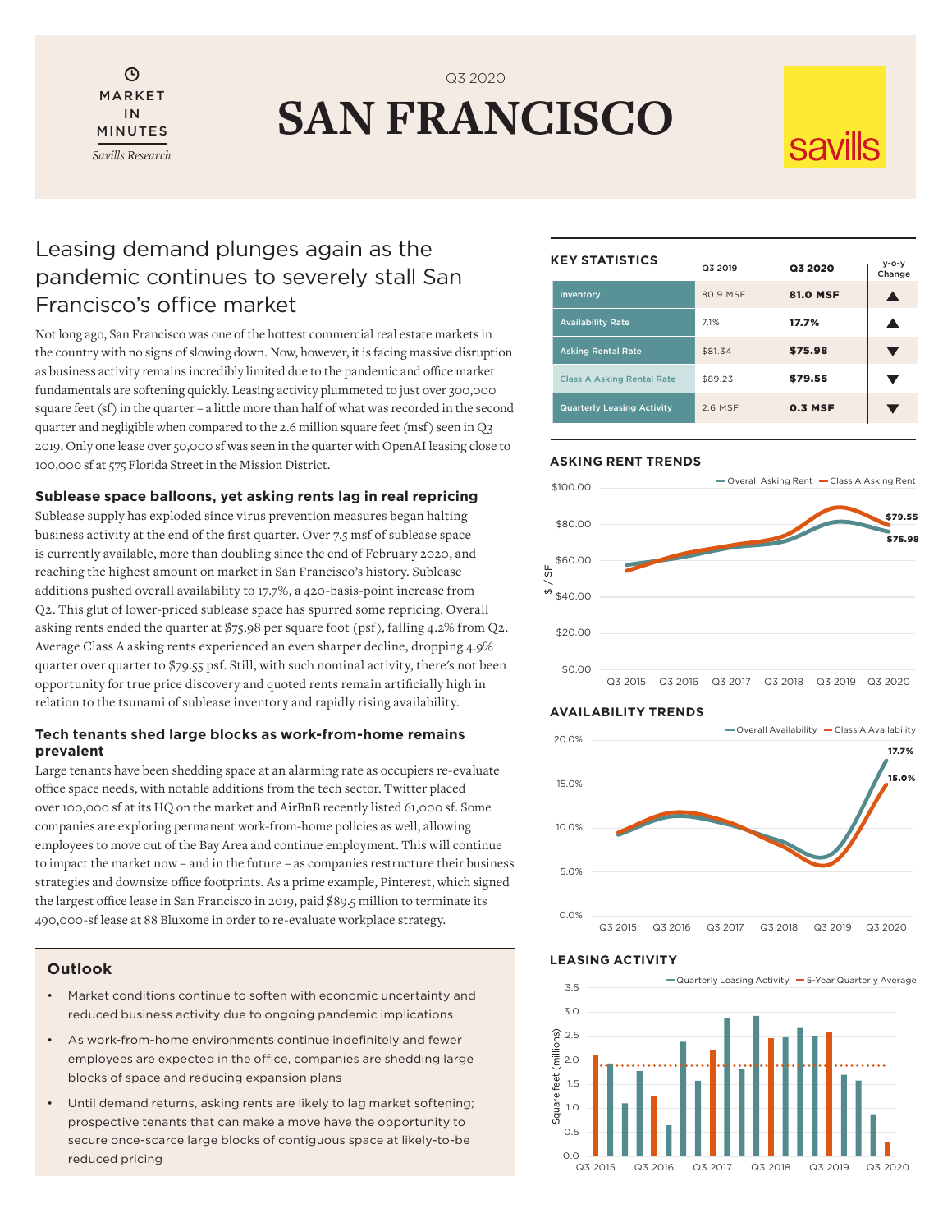Θ MARKET IN MINUTES *Savills Research*

# **SAN FRANCISCO** Q3 2020

# **Savills**

# Leasing demand plunges again as the pandemic continues to severely stall San Francisco's office market

Not long ago, San Francisco was one of the hottest commercial real estate markets in the country with no signs of slowing down. Now, however, it is facing massive disruption as business activity remains incredibly limited due to the pandemic and office market fundamentals are softening quickly. Leasing activity plummeted to just over 300,000 square feet (sf) in the quarter – a little more than half of what was recorded in the second quarter and negligible when compared to the 2.6 million square feet (msf) seen in Q3 2019. Only one lease over 50,000 sf was seen in the quarter with OpenAI leasing close to 100,000 sf at 575 Florida Street in the Mission District.

# **Sublease space balloons, yet asking rents lag in real repricing**

Sublease supply has exploded since virus prevention measures began halting business activity at the end of the first quarter. Over 7.5 msf of sublease space is currently available, more than doubling since the end of February 2020, and reaching the highest amount on market in San Francisco's history. Sublease additions pushed overall availability to 17.7%, a 420-basis-point increase from Q2. This glut of lower-priced sublease space has spurred some repricing. Overall asking rents ended the quarter at \$75.98 per square foot (psf), falling 4.2% from Q2. Average Class A asking rents experienced an even sharper decline, dropping 4.9% quarter over quarter to \$79.55 psf. Still, with such nominal activity, there's not been opportunity for true price discovery and quoted rents remain artificially high in relation to the tsunami of sublease inventory and rapidly rising availability.

# **Tech tenants shed large blocks as work-from-home remains prevalent**

Large tenants have been shedding space at an alarming rate as occupiers re-evaluate office space needs, with notable additions from the tech sector. Twitter placed over 100,000 sf at its HQ on the market and AirBnB recently listed 61,000 sf. Some companies are exploring permanent work-from-home policies as well, allowing employees to move out of the Bay Area and continue employment. This will continue to impact the market now – and in the future – as companies restructure their business strategies and downsize office footprints. As a prime example, Pinterest, which signed the largest office lease in San Francisco in 2019, paid \$89.5 million to terminate its 490,000-sf lease at 88 Bluxome in order to re-evaluate workplace strategy.

### **Outlook**

- Market conditions continue to soften with economic uncertainty and reduced business activity due to ongoing pandemic implications
- As work-from-home environments continue indefinitely and fewer employees are expected in the office, companies are shedding large blocks of space and reducing expansion plans
- Until demand returns, asking rents are likely to lag market softening; prospective tenants that can make a move have the opportunity to secure once-scarce large blocks of contiguous space at likely-to-be reduced pricing

#### **KEY STATISTICS**

| REI SIAIISIILS |                                   | Q3 2019  | Q3 2020         | $y - o - y$<br>Change |
|----------------|-----------------------------------|----------|-----------------|-----------------------|
|                | Inventory                         | 80.9 MSF | <b>81.0 MSF</b> |                       |
|                | <b>Availability Rate</b>          | 7.1%     | 17.7%           |                       |
|                | <b>Asking Rental Rate</b>         | \$81.34  | \$75.98         |                       |
|                | <b>Class A Asking Rental Rate</b> | \$89.23  | \$79.55         |                       |
|                | <b>Quarterly Leasing Activity</b> | 2.6 MSF  | <b>0.3 MSF</b>  |                       |

### **ASKING RENT TRENDS**



#### **AVAILABILITY TRENDS**



#### **LEASING ACTIVITY**